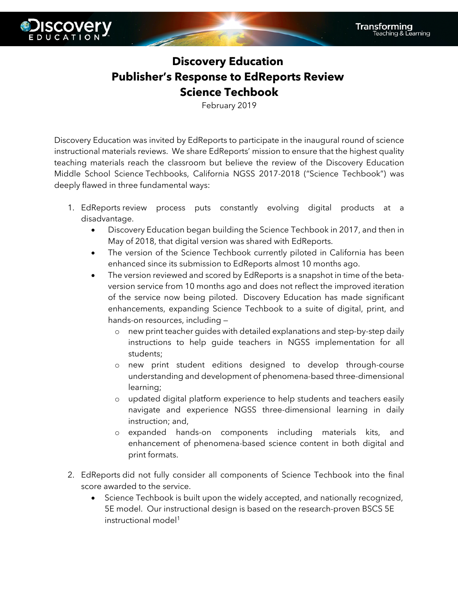

## **Discovery Education Publisher's Response to EdReports Review Science Techbook**

February 2019

Discovery Education was invited by EdReports to participate in the inaugural round of science instructional materials reviews. We share EdReports' mission to ensure that the highest quality teaching materials reach the classroom but believe the review of the Discovery Education Middle School Science Techbooks, California NGSS 2017-2018 ("Science Techbook") was deeply flawed in three fundamental ways:

- 1. EdReports review process puts constantly evolving digital products at a disadvantage.
	- Discovery Education began building the Science Techbook in 2017, and then in May of 2018, that digital version was shared with EdReports.
	- The version of the Science Techbook currently piloted in California has been enhanced since its submission to EdReports almost 10 months ago.
	- The version reviewed and scored by EdReports is a snapshot in time of the betaversion service from 10 months ago and does not reflect the improved iteration of the service now being piloted. Discovery Education has made significant enhancements, expanding Science Techbook to a suite of digital, print, and hands-on resources, including
		- o new print teacher guides with detailed explanations and step-by-step daily instructions to help guide teachers in NGSS implementation for all students;
		- o new print student editions designed to develop through-course understanding and development of phenomena-based three-dimensional learning;
		- o updated digital platform experience to help students and teachers easily navigate and experience NGSS three-dimensional learning in daily instruction; and,
		- o expanded hands-on components including materials kits, and enhancement of phenomena-based science content in both digital and print formats.
- 2. EdReports did not fully consider all components of Science Techbook into the final score awarded to the service.
	- Science Techbook is built upon the widely accepted, and nationally recognized, 5E model. Our instructional design is based on the research-proven BSCS 5E instructional model<sup>1</sup>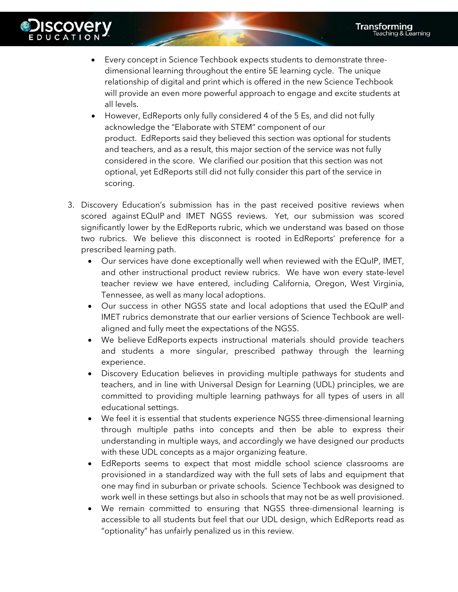

- Every concept in Science Techbook expects students to demonstrate threedimensional learning throughout the entire 5E learning cycle. The unique relationship of digital and print which is offered in the new Science Techbook will provide an even more powerful approach to engage and excite students at all levels.
- However, EdReports only fully considered 4 of the 5 Es, and did not fully acknowledge the "Elaborate with STEM" component of our product. EdReports said they believed this section was optional for students and teachers, and as a result, this major section of the service was not fully considered in the score. We clarified our position that this section was not optional, yet EdReports still did not fully consider this part of the service in scoring.
- 3. Discovery Education's submission has in the past received positive reviews when scored against EQuIP and IMET NGSS reviews. Yet, our submission was scored significantly lower by the EdReports rubric, which we understand was based on those two rubrics. We believe this disconnect is rooted in EdReports' preference for a prescribed learning path.
	- Our services have done exceptionally well when reviewed with the EQuIP, IMET, and other instructional product review rubrics. We have won every state-level teacher review we have entered, including California, Oregon, West Virginia, Tennessee, as well as many local adoptions.
	- Our success in other NGSS state and local adoptions that used the EQuIP and IMET rubrics demonstrate that our earlier versions of Science Techbook are wellaligned and fully meet the expectations of the NGSS.
	- We believe EdReports expects instructional materials should provide teachers and students a more singular, prescribed pathway through the learning experience.
	- Discovery Education believes in providing multiple pathways for students and teachers, and in line with Universal Design for Learning (UDL) principles, we are committed to providing multiple learning pathways for all types of users in all educational settings.
	- We feel it is essential that students experience NGSS three-dimensional learning through multiple paths into concepts and then be able to express their understanding in multiple ways, and accordingly we have designed our products with these UDL concepts as a major organizing feature.
	- EdReports seems to expect that most middle school science classrooms are provisioned in a standardized way with the full sets of labs and equipment that one may find in suburban or private schools. Science Techbook was designed to work well in these settings but also in schools that may not be as well provisioned.
	- We remain committed to ensuring that NGSS three-dimensional learning is accessible to all students but feel that our UDL design, which EdReports read as "optionality" has unfairly penalized us in this review.